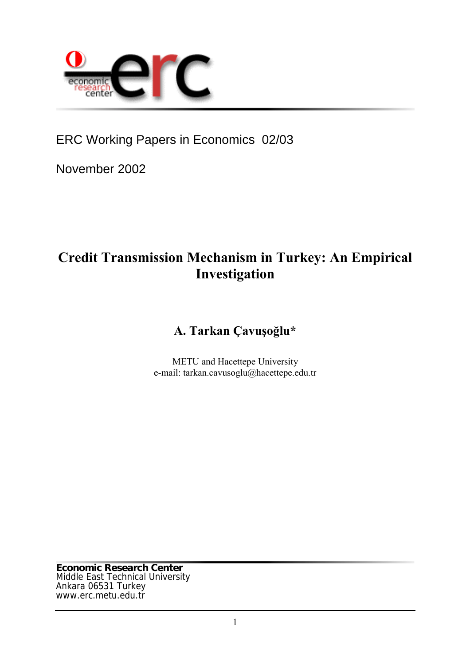

ERC Working Papers in Economics 02/03

November 2002

# **Credit Transmission Mechanism in Turkey: An Empirical Investigation**

## **A. Tarkan Çavuşoğlu\***

METU and Hacettepe University e-mail: tarkan.cavusoglu@hacettepe.edu.tr

**Economic Research Center** Middle East Technical University Ankara 06531 Turkey www.erc.metu.edu.tr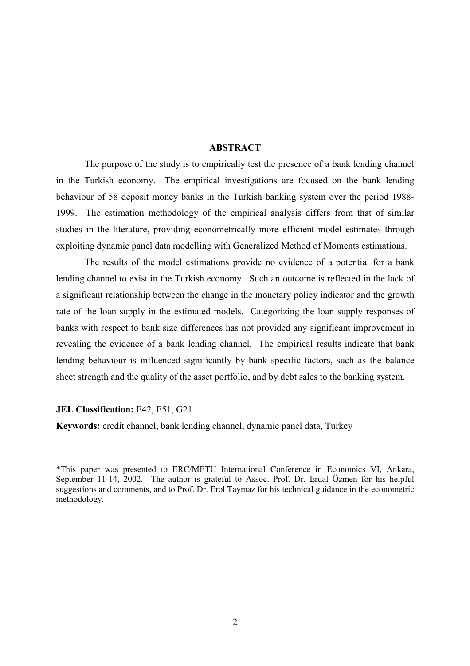## **ABSTRACT**

The purpose of the study is to empirically test the presence of a bank lending channel in the Turkish economy. The empirical investigations are focused on the bank lending behaviour of 58 deposit money banks in the Turkish banking system over the period 1988- 1999. The estimation methodology of the empirical analysis differs from that of similar studies in the literature, providing econometrically more efficient model estimates through exploiting dynamic panel data modelling with Generalized Method of Moments estimations.

The results of the model estimations provide no evidence of a potential for a bank lending channel to exist in the Turkish economy. Such an outcome is reflected in the lack of a significant relationship between the change in the monetary policy indicator and the growth rate of the loan supply in the estimated models. Categorizing the loan supply responses of banks with respect to bank size differences has not provided any significant improvement in revealing the evidence of a bank lending channel. The empirical results indicate that bank lending behaviour is influenced significantly by bank specific factors, such as the balance sheet strength and the quality of the asset portfolio, and by debt sales to the banking system.

#### **JEL Classification:** E42, E51, G21

**Keywords:** credit channel, bank lending channel, dynamic panel data, Turkey

\*This paper was presented to ERC/METU International Conference in Economics VI, Ankara, September 11-14, 2002. The author is grateful to Assoc. Prof. Dr. Erdal Özmen for his helpful suggestions and comments, and to Prof. Dr. Erol Taymaz for his technical guidance in the econometric methodology.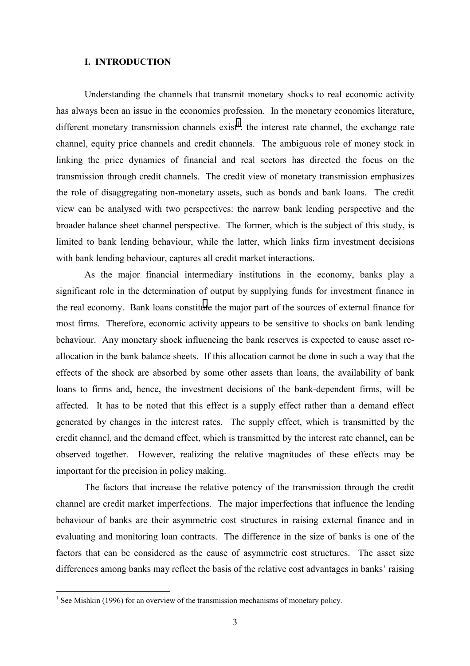## <span id="page-2-0"></span>**I. INTRODUCTION**

Understanding the channels that transmit monetary shocks to real economic activity has always been an issue in the economics profession. In the monetary economics literature, different monetary transmission channels exist<sup>1</sup>: the interest rate channel, the exchange rate channel, equity price channels and credit channels. The ambiguous role of money stock in linking the price dynamics of financial and real sectors has directed the focus on the transmission through credit channels. The credit view of monetary transmission emphasizes the role of disaggregating non-monetary assets, such as bonds and bank loans. The credit view can be analysed with two perspectives: the narrow bank lending perspective and the broader balance sheet channel perspective. The former, which is the subject of this study, is limited to bank lending behaviour, while the latter, which links firm investment decisions with bank lending behaviour, captures all credit market interactions.

As the major financial intermediary institutions in the economy, banks play a significant role in the determination of output by supplying funds for investment finance in the real economy. Bank loans constitute the major part of the sources of external finance for most firms. Therefore, economic activity appears to be sensitive to shocks on bank lending behaviour. Any monetary shock influencing the bank reserves is expected to cause asset reallocation in the bank balance sheets. If this allocation cannot be done in such a way that the effects of the shock are absorbed by some other assets than loans, the availability of bank loans to firms and, hence, the investment decisions of the bank-dependent firms, will be affected. It has to be noted that this effect is a supply effect rather than a demand effect generated by changes in the interest rates. The supply effect, which is transmitted by the credit channel, and the demand effect, which is transmitted by the interest rate channel, can be observed together. However, realizing the relative magnitudes of these effects may be important for the precision in policy making.

The factors that increase the relative potency of the transmission through the credit channel are credit market imperfections. The major imperfections that influence the lending behaviour of banks are their asymmetric cost structures in raising external finance and in evaluating and monitoring loan contracts. The difference in the size of banks is one of the factors that can be considered as the cause of asymmetric cost structures. The asset size differences among banks may reflect the basis of the relative cost advantages in banks' raising

 $\overline{a}$ 

<sup>&</sup>lt;sup>1</sup> See Mishkin (1996) for an overview of the transmission mechanisms of monetary policy.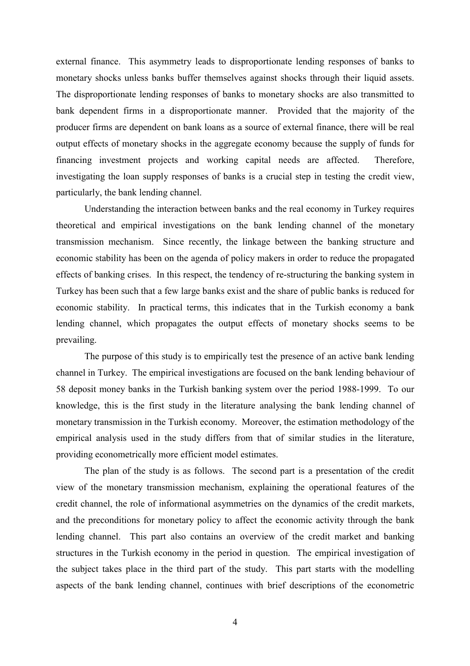external finance. This asymmetry leads to disproportionate lending responses of banks to monetary shocks unless banks buffer themselves against shocks through their liquid assets. The disproportionate lending responses of banks to monetary shocks are also transmitted to bank dependent firms in a disproportionate manner. Provided that the majority of the producer firms are dependent on bank loans as a source of external finance, there will be real output effects of monetary shocks in the aggregate economy because the supply of funds for financing investment projects and working capital needs are affected. Therefore, investigating the loan supply responses of banks is a crucial step in testing the credit view, particularly, the bank lending channel.

Understanding the interaction between banks and the real economy in Turkey requires theoretical and empirical investigations on the bank lending channel of the monetary transmission mechanism. Since recently, the linkage between the banking structure and economic stability has been on the agenda of policy makers in order to reduce the propagated effects of banking crises. In this respect, the tendency of re-structuring the banking system in Turkey has been such that a few large banks exist and the share of public banks is reduced for economic stability. In practical terms, this indicates that in the Turkish economy a bank lending channel, which propagates the output effects of monetary shocks seems to be prevailing.

The purpose of this study is to empirically test the presence of an active bank lending channel in Turkey. The empirical investigations are focused on the bank lending behaviour of 58 deposit money banks in the Turkish banking system over the period 1988-1999. To our knowledge, this is the first study in the literature analysing the bank lending channel of monetary transmission in the Turkish economy. Moreover, the estimation methodology of the empirical analysis used in the study differs from that of similar studies in the literature, providing econometrically more efficient model estimates.

The plan of the study is as follows. The second part is a presentation of the credit view of the monetary transmission mechanism, explaining the operational features of the credit channel, the role of informational asymmetries on the dynamics of the credit markets, and the preconditions for monetary policy to affect the economic activity through the bank lending channel. This part also contains an overview of the credit market and banking structures in the Turkish economy in the period in question. The empirical investigation of the subject takes place in the third part of the study. This part starts with the modelling aspects of the bank lending channel, continues with brief descriptions of the econometric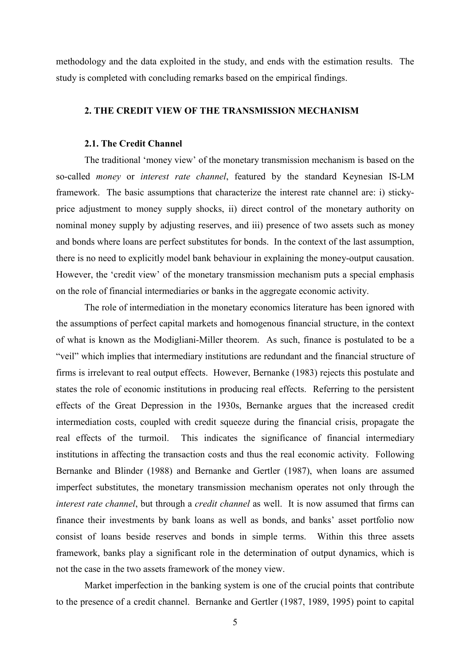methodology and the data exploited in the study, and ends with the estimation results. The study is completed with concluding remarks based on the empirical findings.

## **2. THE CREDIT VIEW OF THE TRANSMISSION MECHANISM**

## **2.1. The Credit Channel**

The traditional 'money view' of the monetary transmission mechanism is based on the so-called *money* or *interest rate channel*, featured by the standard Keynesian IS-LM framework. The basic assumptions that characterize the interest rate channel are: i) stickyprice adjustment to money supply shocks, ii) direct control of the monetary authority on nominal money supply by adjusting reserves, and iii) presence of two assets such as money and bonds where loans are perfect substitutes for bonds. In the context of the last assumption, there is no need to explicitly model bank behaviour in explaining the money-output causation. However, the 'credit view' of the monetary transmission mechanism puts a special emphasis on the role of financial intermediaries or banks in the aggregate economic activity.

The role of intermediation in the monetary economics literature has been ignored with the assumptions of perfect capital markets and homogenous financial structure, in the context of what is known as the Modigliani-Miller theorem. As such, finance is postulated to be a "veil" which implies that intermediary institutions are redundant and the financial structure of firms is irrelevant to real output effects. However, Bernanke (1983) rejects this postulate and states the role of economic institutions in producing real effects. Referring to the persistent effects of the Great Depression in the 1930s, Bernanke argues that the increased credit intermediation costs, coupled with credit squeeze during the financial crisis, propagate the real effects of the turmoil. This indicates the significance of financial intermediary institutions in affecting the transaction costs and thus the real economic activity. Following Bernanke and Blinder (1988) and Bernanke and Gertler (1987), when loans are assumed imperfect substitutes, the monetary transmission mechanism operates not only through the *interest rate channel*, but through a *credit channel* as well. It is now assumed that firms can finance their investments by bank loans as well as bonds, and banks' asset portfolio now consist of loans beside reserves and bonds in simple terms. Within this three assets framework, banks play a significant role in the determination of output dynamics, which is not the case in the two assets framework of the money view.

Market imperfection in the banking system is one of the crucial points that contribute to the presence of a credit channel. Bernanke and Gertler (1987, 1989, 1995) point to capital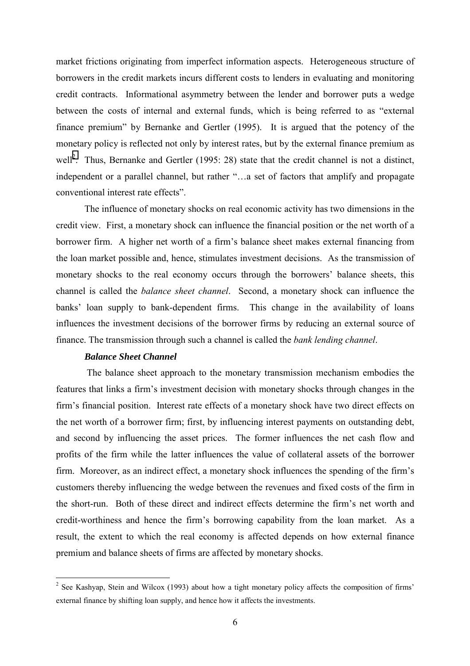market frictions originating from imperfect information aspects. Heterogeneous structure of borrowers in the credit markets incurs different costs to lenders in evaluating and monitoring credit contracts. Informational asymmetry between the lender and borrower puts a wedge between the costs of internal and external funds, which is being referred to as "external finance premium" by Bernanke and Gertler (1995). It is argued that the potency of the monetary policy is reflected not only by interest rates, but by the external finance premium as well<sup>2</sup>. Thus, Bernanke and Gertler (1995: 28) state that the credit channel is not a distinct, independent or a parallel channel, but rather "…a set of factors that amplify and propagate conventional interest rate effects".

The influence of monetary shocks on real economic activity has two dimensions in the credit view. First, a monetary shock can influence the financial position or the net worth of a borrower firm. A higher net worth of a firm's balance sheet makes external financing from the loan market possible and, hence, stimulates investment decisions. As the transmission of monetary shocks to the real economy occurs through the borrowers' balance sheets, this channel is called the *balance sheet channel*. Second, a monetary shock can influence the banks' loan supply to bank-dependent firms. This change in the availability of loans influences the investment decisions of the borrower firms by reducing an external source of finance. The transmission through such a channel is called the *bank lending channel*.

## *Balance Sheet Channel*

 $\overline{a}$ 

 The balance sheet approach to the monetary transmission mechanism embodies the features that links a firm's investment decision with monetary shocks through changes in the firm's financial position. Interest rate effects of a monetary shock have two direct effects on the net worth of a borrower firm; first, by influencing interest payments on outstanding debt, and second by influencing the asset prices. The former influences the net cash flow and profits of the firm while the latter influences the value of collateral assets of the borrower firm. Moreover, as an indirect effect, a monetary shock influences the spending of the firm's customers thereby influencing the wedge between the revenues and fixed costs of the firm in the short-run. Both of these direct and indirect effects determine the firm's net worth and credit-worthiness and hence the firm's borrowing capability from the loan market. As a result, the extent to which the real economy is affected depends on how external finance premium and balance sheets of firms are affected by monetary shocks.

<sup>&</sup>lt;sup>2</sup> See Kashyap, Stein and Wilcox (1993) about how a tight monetary policy affects the composition of firms' external finance by shifting loan supply, and hence how it affects the investments.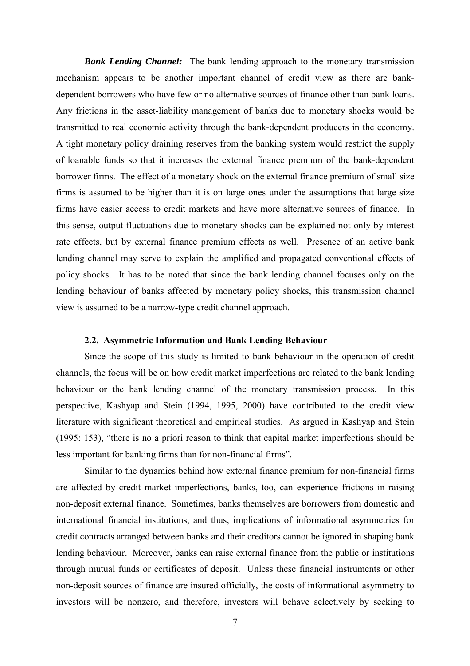*Bank Lending Channel:* The bank lending approach to the monetary transmission mechanism appears to be another important channel of credit view as there are bankdependent borrowers who have few or no alternative sources of finance other than bank loans. Any frictions in the asset-liability management of banks due to monetary shocks would be transmitted to real economic activity through the bank-dependent producers in the economy. A tight monetary policy draining reserves from the banking system would restrict the supply of loanable funds so that it increases the external finance premium of the bank-dependent borrower firms. The effect of a monetary shock on the external finance premium of small size firms is assumed to be higher than it is on large ones under the assumptions that large size firms have easier access to credit markets and have more alternative sources of finance. In this sense, output fluctuations due to monetary shocks can be explained not only by interest rate effects, but by external finance premium effects as well. Presence of an active bank lending channel may serve to explain the amplified and propagated conventional effects of policy shocks. It has to be noted that since the bank lending channel focuses only on the lending behaviour of banks affected by monetary policy shocks, this transmission channel view is assumed to be a narrow-type credit channel approach.

## **2.2. Asymmetric Information and Bank Lending Behaviour**

Since the scope of this study is limited to bank behaviour in the operation of credit channels, the focus will be on how credit market imperfections are related to the bank lending behaviour or the bank lending channel of the monetary transmission process. In this perspective, Kashyap and Stein (1994, 1995, 2000) have contributed to the credit view literature with significant theoretical and empirical studies. As argued in Kashyap and Stein (1995: 153), "there is no a priori reason to think that capital market imperfections should be less important for banking firms than for non-financial firms".

Similar to the dynamics behind how external finance premium for non-financial firms are affected by credit market imperfections, banks, too, can experience frictions in raising non-deposit external finance. Sometimes, banks themselves are borrowers from domestic and international financial institutions, and thus, implications of informational asymmetries for credit contracts arranged between banks and their creditors cannot be ignored in shaping bank lending behaviour. Moreover, banks can raise external finance from the public or institutions through mutual funds or certificates of deposit. Unless these financial instruments or other non-deposit sources of finance are insured officially, the costs of informational asymmetry to investors will be nonzero, and therefore, investors will behave selectively by seeking to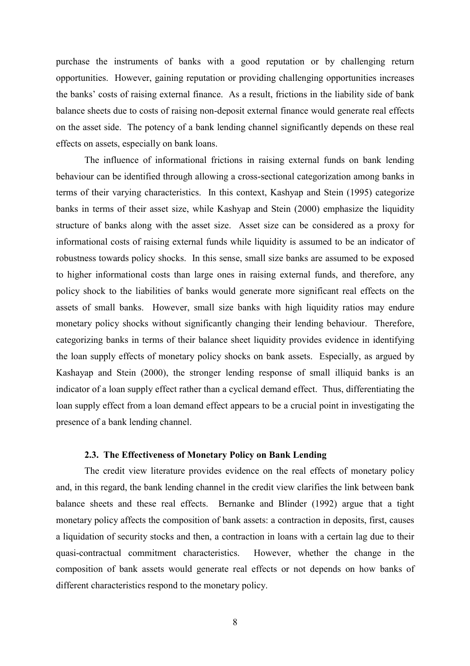purchase the instruments of banks with a good reputation or by challenging return opportunities. However, gaining reputation or providing challenging opportunities increases the banks' costs of raising external finance. As a result, frictions in the liability side of bank balance sheets due to costs of raising non-deposit external finance would generate real effects on the asset side. The potency of a bank lending channel significantly depends on these real effects on assets, especially on bank loans.

The influence of informational frictions in raising external funds on bank lending behaviour can be identified through allowing a cross-sectional categorization among banks in terms of their varying characteristics. In this context, Kashyap and Stein (1995) categorize banks in terms of their asset size, while Kashyap and Stein (2000) emphasize the liquidity structure of banks along with the asset size. Asset size can be considered as a proxy for informational costs of raising external funds while liquidity is assumed to be an indicator of robustness towards policy shocks. In this sense, small size banks are assumed to be exposed to higher informational costs than large ones in raising external funds, and therefore, any policy shock to the liabilities of banks would generate more significant real effects on the assets of small banks. However, small size banks with high liquidity ratios may endure monetary policy shocks without significantly changing their lending behaviour. Therefore, categorizing banks in terms of their balance sheet liquidity provides evidence in identifying the loan supply effects of monetary policy shocks on bank assets. Especially, as argued by Kashayap and Stein (2000), the stronger lending response of small illiquid banks is an indicator of a loan supply effect rather than a cyclical demand effect. Thus, differentiating the loan supply effect from a loan demand effect appears to be a crucial point in investigating the presence of a bank lending channel.

## **2.3. The Effectiveness of Monetary Policy on Bank Lending**

The credit view literature provides evidence on the real effects of monetary policy and, in this regard, the bank lending channel in the credit view clarifies the link between bank balance sheets and these real effects. Bernanke and Blinder (1992) argue that a tight monetary policy affects the composition of bank assets: a contraction in deposits, first, causes a liquidation of security stocks and then, a contraction in loans with a certain lag due to their quasi-contractual commitment characteristics. However, whether the change in the composition of bank assets would generate real effects or not depends on how banks of different characteristics respond to the monetary policy.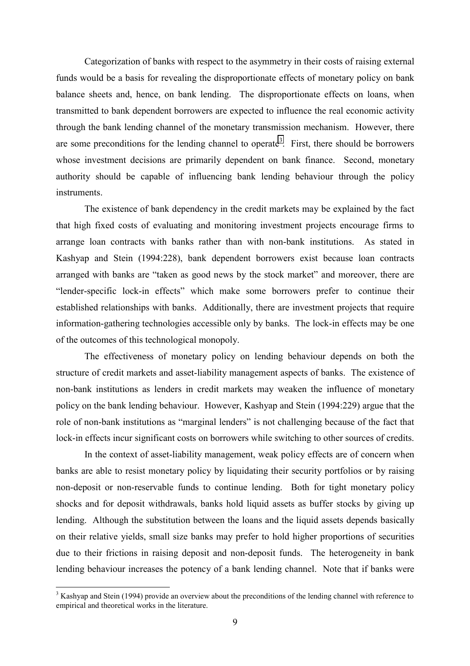Categorization of banks with respect to the asymmetry in their costs of raising external funds would be a basis for revealing the disproportionate effects of monetary policy on bank balance sheets and, hence, on bank lending. The disproportionate effects on loans, when transmitted to bank dependent borrowers are expected to influence the real economic activity through the bank lending channel of the monetary transmission mechanism. However, there are some preconditions for the lending channel to operate<sup>3</sup>. First, there should be borrowers whose investment decisions are primarily dependent on bank finance. Second, monetary authority should be capable of influencing bank lending behaviour through the policy instruments.

The existence of bank dependency in the credit markets may be explained by the fact that high fixed costs of evaluating and monitoring investment projects encourage firms to arrange loan contracts with banks rather than with non-bank institutions. As stated in Kashyap and Stein (1994:228), bank dependent borrowers exist because loan contracts arranged with banks are "taken as good news by the stock market" and moreover, there are "lender-specific lock-in effects" which make some borrowers prefer to continue their established relationships with banks. Additionally, there are investment projects that require information-gathering technologies accessible only by banks. The lock-in effects may be one of the outcomes of this technological monopoly.

The effectiveness of monetary policy on lending behaviour depends on both the structure of credit markets and asset-liability management aspects of banks. The existence of non-bank institutions as lenders in credit markets may weaken the influence of monetary policy on the bank lending behaviour. However, Kashyap and Stein (1994:229) argue that the role of non-bank institutions as "marginal lenders" is not challenging because of the fact that lock-in effects incur significant costs on borrowers while switching to other sources of credits.

In the context of asset-liability management, weak policy effects are of concern when banks are able to resist monetary policy by liquidating their security portfolios or by raising non-deposit or non-reservable funds to continue lending. Both for tight monetary policy shocks and for deposit withdrawals, banks hold liquid assets as buffer stocks by giving up lending. Although the substitution between the loans and the liquid assets depends basically on their relative yields, small size banks may prefer to hold higher proportions of securities due to their frictions in raising deposit and non-deposit funds. The heterogeneity in bank lending behaviour increases the potency of a bank lending channel. Note that if banks were

 $\overline{a}$ 

 $3$  Kashyap and Stein (1994) provide an overview about the preconditions of the lending channel with reference to empirical and theoretical works in the literature.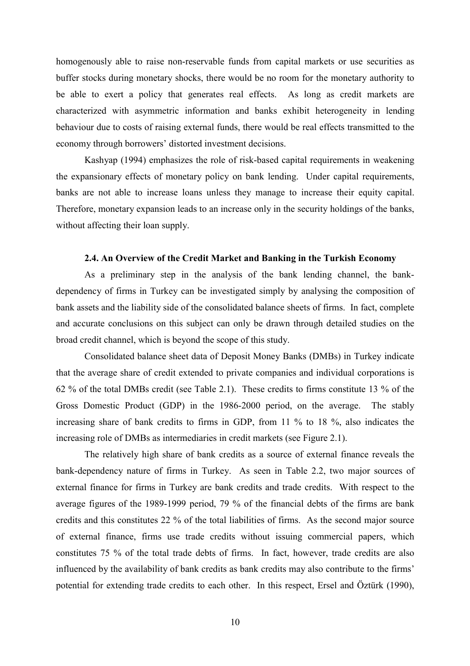homogenously able to raise non-reservable funds from capital markets or use securities as buffer stocks during monetary shocks, there would be no room for the monetary authority to be able to exert a policy that generates real effects. As long as credit markets are characterized with asymmetric information and banks exhibit heterogeneity in lending behaviour due to costs of raising external funds, there would be real effects transmitted to the economy through borrowers' distorted investment decisions.

Kashyap (1994) emphasizes the role of risk-based capital requirements in weakening the expansionary effects of monetary policy on bank lending. Under capital requirements, banks are not able to increase loans unless they manage to increase their equity capital. Therefore, monetary expansion leads to an increase only in the security holdings of the banks, without affecting their loan supply.

## **2.4. An Overview of the Credit Market and Banking in the Turkish Economy**

As a preliminary step in the analysis of the bank lending channel, the bankdependency of firms in Turkey can be investigated simply by analysing the composition of bank assets and the liability side of the consolidated balance sheets of firms. In fact, complete and accurate conclusions on this subject can only be drawn through detailed studies on the broad credit channel, which is beyond the scope of this study.

Consolidated balance sheet data of Deposit Money Banks (DMBs) in Turkey indicate that the average share of credit extended to private companies and individual corporations is 62 % of the total DMBs credit (see Table 2.1). These credits to firms constitute 13 % of the Gross Domestic Product (GDP) in the 1986-2000 period, on the average. The stably increasing share of bank credits to firms in GDP, from 11 % to 18 %, also indicates the increasing role of DMBs as intermediaries in credit markets (see Figure 2.1).

The relatively high share of bank credits as a source of external finance reveals the bank-dependency nature of firms in Turkey. As seen in Table 2.2, two major sources of external finance for firms in Turkey are bank credits and trade credits. With respect to the average figures of the 1989-1999 period, 79 % of the financial debts of the firms are bank credits and this constitutes 22 % of the total liabilities of firms. As the second major source of external finance, firms use trade credits without issuing commercial papers, which constitutes 75 % of the total trade debts of firms. In fact, however, trade credits are also influenced by the availability of bank credits as bank credits may also contribute to the firms' potential for extending trade credits to each other. In this respect, Ersel and Öztürk (1990),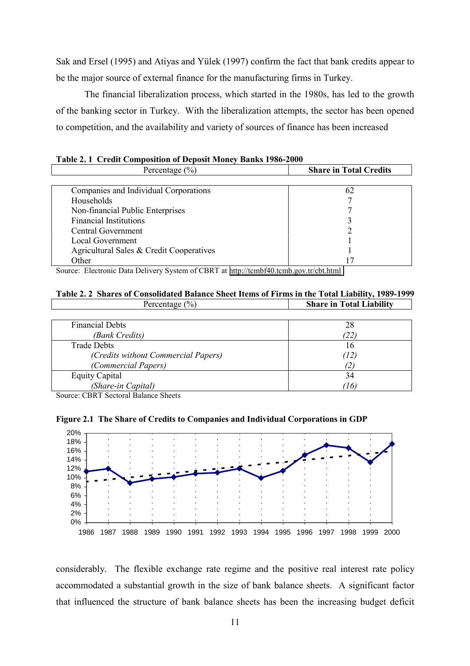Sak and Ersel (1995) and Atiyas and Yülek (1997) confirm the fact that bank credits appear to be the major source of external finance for the manufacturing firms in Turkey.

The financial liberalization process, which started in the 1980s, has led to the growth of the banking sector in Turkey. With the liberalization attempts, the sector has been opened to competition, and the availability and variety of sources of finance has been increased

| Percentage $(\% )$                       | <b>Share in Total Credits</b> |
|------------------------------------------|-------------------------------|
|                                          |                               |
| Companies and Individual Corporations    | 62                            |
| <b>Households</b>                        |                               |
| Non-financial Public Enterprises         |                               |
| <b>Financial Institutions</b>            |                               |
| Central Government                       |                               |
| Local Government                         |                               |
| Agricultural Sales & Credit Cooperatives |                               |
| Other                                    |                               |

| Table 2.1 Credit Composition of Deposit Money Banks 1986-2000 |  |
|---------------------------------------------------------------|--|
|---------------------------------------------------------------|--|

Source: Electronic Data Delivery System of CBRT at [http://tcmbf40.tcmb.gov.tr/cbt.html](#page-2-0)

#### **Table 2. 2 Shares of Consolidated Balance Sheet Items of Firms in the Total Liability, 1989-1999** Percentage (%) **Share in Total Liability**

| <b>Financial Debts</b>              | 28   |
|-------------------------------------|------|
| (Bank Credits)                      | (22) |
| <b>Trade Debts</b>                  | 16   |
| (Credits without Commercial Papers) | (12) |
| (Commercial Papers)                 |      |
| <b>Equity Capital</b>               | 34   |
| (Share-in Capital)                  | (16) |

Source: CBRT Sectoral Balance Sheets





considerably. The flexible exchange rate regime and the positive real interest rate policy accommodated a substantial growth in the size of bank balance sheets. A significant factor that influenced the structure of bank balance sheets has been the increasing budget deficit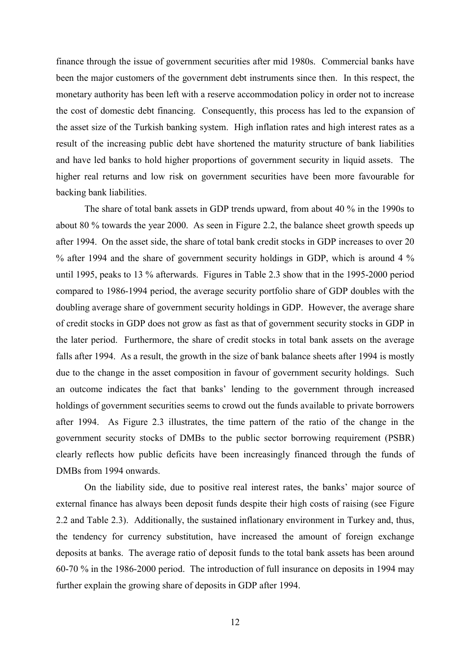finance through the issue of government securities after mid 1980s. Commercial banks have been the major customers of the government debt instruments since then. In this respect, the monetary authority has been left with a reserve accommodation policy in order not to increase the cost of domestic debt financing. Consequently, this process has led to the expansion of the asset size of the Turkish banking system. High inflation rates and high interest rates as a result of the increasing public debt have shortened the maturity structure of bank liabilities and have led banks to hold higher proportions of government security in liquid assets. The higher real returns and low risk on government securities have been more favourable for backing bank liabilities.

The share of total bank assets in GDP trends upward, from about 40 % in the 1990s to about 80 % towards the year 2000. As seen in Figure 2.2, the balance sheet growth speeds up after 1994. On the asset side, the share of total bank credit stocks in GDP increases to over 20 % after 1994 and the share of government security holdings in GDP, which is around 4 % until 1995, peaks to 13 % afterwards. Figures in Table 2.3 show that in the 1995-2000 period compared to 1986-1994 period, the average security portfolio share of GDP doubles with the doubling average share of government security holdings in GDP. However, the average share of credit stocks in GDP does not grow as fast as that of government security stocks in GDP in the later period. Furthermore, the share of credit stocks in total bank assets on the average falls after 1994. As a result, the growth in the size of bank balance sheets after 1994 is mostly due to the change in the asset composition in favour of government security holdings. Such an outcome indicates the fact that banks' lending to the government through increased holdings of government securities seems to crowd out the funds available to private borrowers after 1994. As Figure 2.3 illustrates, the time pattern of the ratio of the change in the government security stocks of DMBs to the public sector borrowing requirement (PSBR) clearly reflects how public deficits have been increasingly financed through the funds of DMBs from 1994 onwards.

On the liability side, due to positive real interest rates, the banks' major source of external finance has always been deposit funds despite their high costs of raising (see Figure 2.2 and Table 2.3). Additionally, the sustained inflationary environment in Turkey and, thus, the tendency for currency substitution, have increased the amount of foreign exchange deposits at banks. The average ratio of deposit funds to the total bank assets has been around 60-70 % in the 1986-2000 period. The introduction of full insurance on deposits in 1994 may further explain the growing share of deposits in GDP after 1994.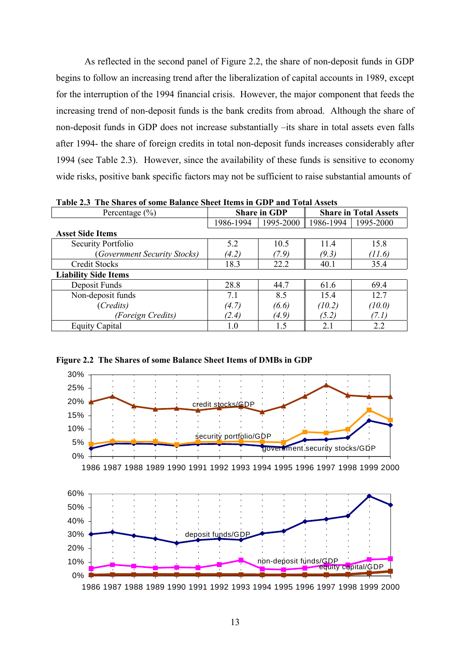As reflected in the second panel of Figure 2.2, the share of non-deposit funds in GDP begins to follow an increasing trend after the liberalization of capital accounts in 1989, except for the interruption of the 1994 financial crisis. However, the major component that feeds the increasing trend of non-deposit funds is the bank credits from abroad. Although the share of non-deposit funds in GDP does not increase substantially –its share in total assets even falls after 1994- the share of foreign credits in total non-deposit funds increases considerably after 1994 (see Table 2.3). However, since the availability of these funds is sensitive to economy wide risks, positive bank specific factors may not be sufficient to raise substantial amounts of

| Table 2.5 THE Shares of some balance sheet rights in GDT and Total Assets |           |                     |           |                              |  |  |  |
|---------------------------------------------------------------------------|-----------|---------------------|-----------|------------------------------|--|--|--|
| Percentage $(\% )$                                                        |           | <b>Share in GDP</b> |           | <b>Share in Total Assets</b> |  |  |  |
|                                                                           | 1986-1994 | 1995-2000           | 1986-1994 | 1995-2000                    |  |  |  |
| <b>Asset Side Items</b>                                                   |           |                     |           |                              |  |  |  |
| Security Portfolio                                                        | 5.2       | 10.5                | 11.4      | 15.8                         |  |  |  |
| (Government Security Stocks)                                              | (4.2)     | (7.9)               | (9.3)     | (11.6)                       |  |  |  |
| <b>Credit Stocks</b>                                                      | 18.3      | 22.2                | 40.1      | 35.4                         |  |  |  |
| <b>Liability Side Items</b>                                               |           |                     |           |                              |  |  |  |
| Deposit Funds                                                             | 28.8      | 44.7                | 61.6      | 69.4                         |  |  |  |
| Non-deposit funds                                                         | 7.1       | 8.5                 | 15.4      | 12.7                         |  |  |  |
| (Credits)                                                                 | (4.7)     | (6.6)               | (10.2)    | (10.0)                       |  |  |  |
| (Foreign Credits)                                                         | (2.4)     | (4.9)               | (5.2)     | (7. I)                       |  |  |  |
| <b>Equity Capital</b>                                                     | 1.0       | 1.5                 | 2.1       | 2.2                          |  |  |  |

**Table 2.3 The Shares of some Balance Sheet Items in GDP and Total Assets**



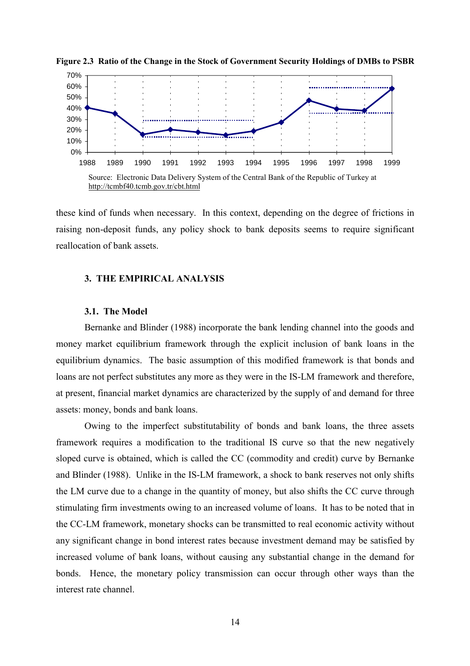

**Figure 2.3 Ratio of the Change in the Stock of Government Security Holdings of DMBs to PSBR**

http://tcmbf40.tcmb.gov.tr/cbt.html

these kind of funds when necessary. In this context, depending on the degree of frictions in raising non-deposit funds, any policy shock to bank deposits seems to require significant reallocation of bank assets.

## **3. THE EMPIRICAL ANALYSIS**

#### **3.1. The Model**

Bernanke and Blinder (1988) incorporate the bank lending channel into the goods and money market equilibrium framework through the explicit inclusion of bank loans in the equilibrium dynamics. The basic assumption of this modified framework is that bonds and loans are not perfect substitutes any more as they were in the IS-LM framework and therefore, at present, financial market dynamics are characterized by the supply of and demand for three assets: money, bonds and bank loans.

Owing to the imperfect substitutability of bonds and bank loans, the three assets framework requires a modification to the traditional IS curve so that the new negatively sloped curve is obtained, which is called the CC (commodity and credit) curve by Bernanke and Blinder (1988). Unlike in the IS-LM framework, a shock to bank reserves not only shifts the LM curve due to a change in the quantity of money, but also shifts the CC curve through stimulating firm investments owing to an increased volume of loans. It has to be noted that in the CC-LM framework, monetary shocks can be transmitted to real economic activity without any significant change in bond interest rates because investment demand may be satisfied by increased volume of bank loans, without causing any substantial change in the demand for bonds. Hence, the monetary policy transmission can occur through other ways than the interest rate channel.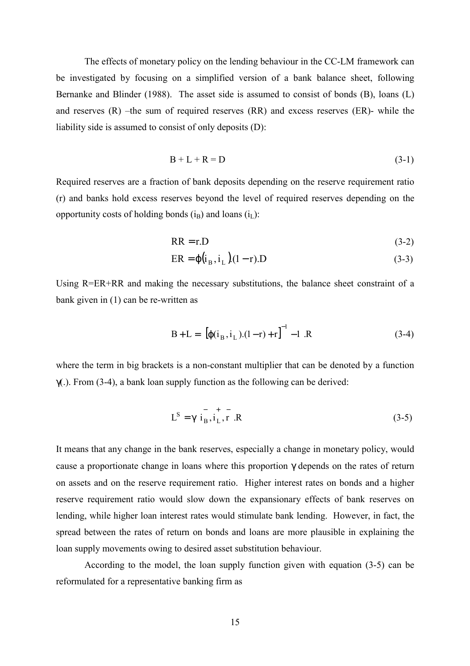The effects of monetary policy on the lending behaviour in the CC-LM framework can be investigated by focusing on a simplified version of a bank balance sheet, following Bernanke and Blinder (1988). The asset side is assumed to consist of bonds (B), loans (L) and reserves  $(R)$  –the sum of required reserves  $(RR)$  and excess reserves  $(ER)$ - while the liability side is assumed to consist of only deposits (D):

$$
B + L + R = D \tag{3-1}
$$

Required reserves are a fraction of bank deposits depending on the reserve requirement ratio (r) and banks hold excess reserves beyond the level of required reserves depending on the opportunity costs of holding bonds  $(i_B)$  and loans  $(i_L)$ :

$$
RR = r.D \tag{3-2}
$$

$$
ER = \varphi(i_B, i_L)(1 - r).D \tag{3-3}
$$

Using R=ER+RR and making the necessary substitutions, the balance sheet constraint of a bank given in (1) can be re-written as

$$
B + L = \left[ [\varphi(i_B, i_L) . (1 - r) + r]^{-1} - 1 \right] R \tag{3-4}
$$

where the term in big brackets is a non-constant multiplier that can be denoted by a function  $\gamma$ (.). From (3-4), a bank loan supply function as the following can be derived:

$$
L^{S} = \sqrt{i_{B}^{2}, i_{L}^{2}, r} R
$$
 (3-5)

It means that any change in the bank reserves, especially a change in monetary policy, would cause a proportionate change in loans where this proportion γ depends on the rates of return on assets and on the reserve requirement ratio. Higher interest rates on bonds and a higher reserve requirement ratio would slow down the expansionary effects of bank reserves on lending, while higher loan interest rates would stimulate bank lending. However, in fact, the spread between the rates of return on bonds and loans are more plausible in explaining the loan supply movements owing to desired asset substitution behaviour.

According to the model, the loan supply function given with equation (3-5) can be reformulated for a representative banking firm as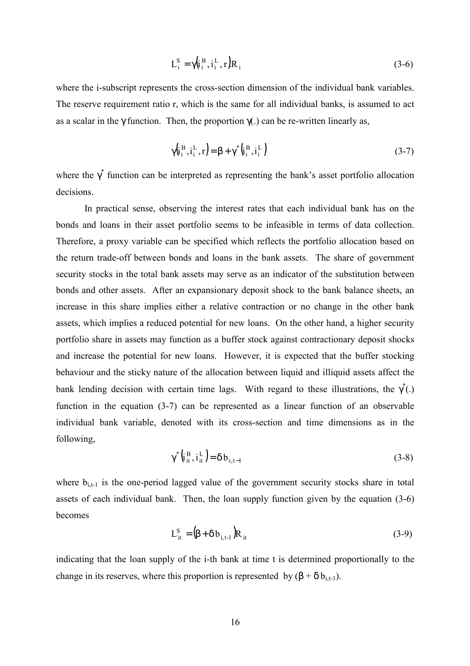$$
L_i^S = \gamma \left( i_i^B, i_i^L, r \right) R_i \tag{3-6}
$$

where the i-subscript represents the cross-section dimension of the individual bank variables. The reserve requirement ratio r, which is the same for all individual banks, is assumed to act as a scalar in the  $\gamma$  function. Then, the proportion  $\gamma$ (.) can be re-written linearly as,

$$
\gamma(\mathbf{i}_i^{\mathrm{B}}, \mathbf{i}_i^{\mathrm{L}}, \mathbf{r}) = \beta + \gamma^* (\mathbf{i}_i^{\mathrm{B}}, \mathbf{i}_i^{\mathrm{L}})
$$
 (3-7)

where the  $\gamma^*$  function can be interpreted as representing the bank's asset portfolio allocation decisions.

In practical sense, observing the interest rates that each individual bank has on the bonds and loans in their asset portfolio seems to be infeasible in terms of data collection. Therefore, a proxy variable can be specified which reflects the portfolio allocation based on the return trade-off between bonds and loans in the bank assets. The share of government security stocks in the total bank assets may serve as an indicator of the substitution between bonds and other assets. After an expansionary deposit shock to the bank balance sheets, an increase in this share implies either a relative contraction or no change in the other bank assets, which implies a reduced potential for new loans. On the other hand, a higher security portfolio share in assets may function as a buffer stock against contractionary deposit shocks and increase the potential for new loans. However, it is expected that the buffer stocking behaviour and the sticky nature of the allocation between liquid and illiquid assets affect the bank lending decision with certain time lags. With regard to these illustrations, the  $\gamma^*(.)$ function in the equation (3-7) can be represented as a linear function of an observable individual bank variable, denoted with its cross-section and time dimensions as in the following,

$$
\gamma^* \left( i_{it}^B, i_{it}^L \right) = \delta b_{i,t-1} \tag{3-8}
$$

where  $b_{i,t-1}$  is the one-period lagged value of the government security stocks share in total assets of each individual bank. Then, the loan supply function given by the equation (3-6) becomes

$$
L_{it}^{S} = (\beta + \delta b_{i,t-1})R_{it}
$$
 (3-9)

indicating that the loan supply of the i-th bank at time t is determined proportionally to the change in its reserves, where this proportion is represented by  $(\beta + \delta b_{i+1})$ .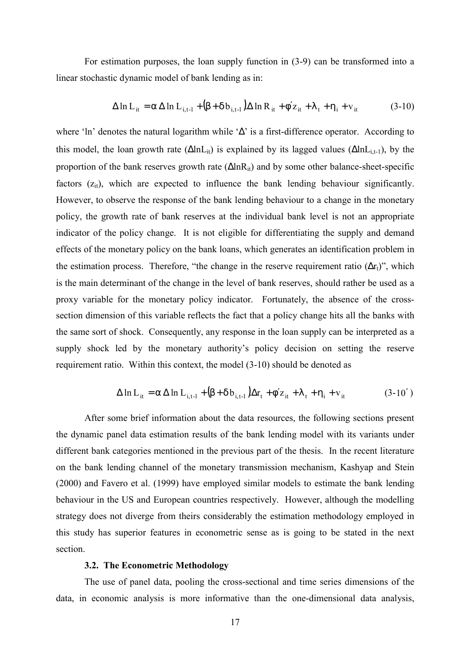For estimation purposes, the loan supply function in (3-9) can be transformed into a linear stochastic dynamic model of bank lending as in:

$$
\Delta \ln L_{it} = \alpha \Delta \ln L_{i, t-1} + (\beta + \delta b_{i, t-1}) \Delta \ln R_{it} + \phi' z_{it} + \lambda_t + \eta_i + v_{it} \tag{3-10}
$$

where 'ln' denotes the natural logarithm while '∆' is a first-difference operator. According to this model, the loan growth rate  $(\Delta \ln L_{it})$  is explained by its lagged values  $(\Delta \ln L_{it-1})$ , by the proportion of the bank reserves growth rate  $(\Delta \ln R_{it})$  and by some other balance-sheet-specific factors  $(z<sub>it</sub>)$ , which are expected to influence the bank lending behaviour significantly. However, to observe the response of the bank lending behaviour to a change in the monetary policy, the growth rate of bank reserves at the individual bank level is not an appropriate indicator of the policy change. It is not eligible for differentiating the supply and demand effects of the monetary policy on the bank loans, which generates an identification problem in the estimation process. Therefore, "the change in the reserve requirement ratio  $(\Delta r_t)$ ", which is the main determinant of the change in the level of bank reserves, should rather be used as a proxy variable for the monetary policy indicator. Fortunately, the absence of the crosssection dimension of this variable reflects the fact that a policy change hits all the banks with the same sort of shock. Consequently, any response in the loan supply can be interpreted as a supply shock led by the monetary authority's policy decision on setting the reserve requirement ratio. Within this context, the model (3-10) should be denoted as

$$
\Delta \ln L_{it} = \alpha \Delta \ln L_{i, t-1} + (\beta + \delta b_{i, t-1}) \Delta r_t + \phi' z_{it} + \lambda_t + \eta_i + v_{it} \tag{3-10'}
$$

After some brief information about the data resources, the following sections present the dynamic panel data estimation results of the bank lending model with its variants under different bank categories mentioned in the previous part of the thesis. In the recent literature on the bank lending channel of the monetary transmission mechanism, Kashyap and Stein (2000) and Favero et al. (1999) have employed similar models to estimate the bank lending behaviour in the US and European countries respectively. However, although the modelling strategy does not diverge from theirs considerably the estimation methodology employed in this study has superior features in econometric sense as is going to be stated in the next section.

#### **3.2. The Econometric Methodology**

The use of panel data, pooling the cross-sectional and time series dimensions of the data, in economic analysis is more informative than the one-dimensional data analysis,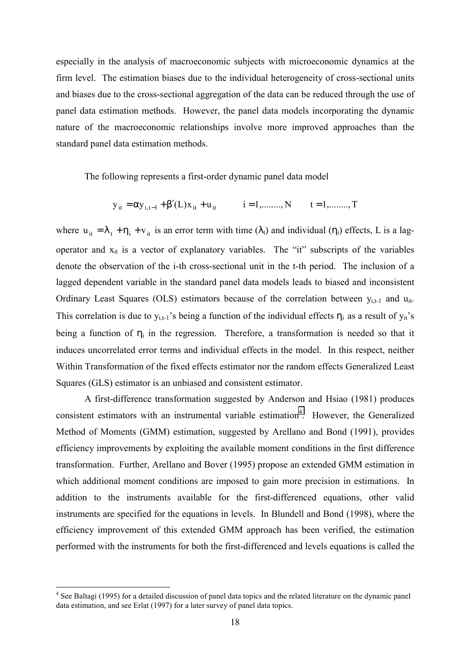especially in the analysis of macroeconomic subjects with microeconomic dynamics at the firm level. The estimation biases due to the individual heterogeneity of cross-sectional units and biases due to the cross-sectional aggregation of the data can be reduced through the use of panel data estimation methods. However, the panel data models incorporating the dynamic nature of the macroeconomic relationships involve more improved approaches than the standard panel data estimation methods.

The following represents a first-order dynamic panel data model

$$
y_{it} = \alpha y_{i,t-1} + \beta'(L)x_{it} + u_{it}
$$
   
  $i = 1, \dots, N$   $t = 1, \dots, T$ 

where  $u_{it} = \lambda_t + \eta_i + v_{it}$  is an error term with time ( $\lambda_t$ ) and individual ( $\eta_i$ ) effects, L is a lagoperator and  $x_{it}$  is a vector of explanatory variables. The "it" subscripts of the variables denote the observation of the i-th cross-sectional unit in the t-th period. The inclusion of a lagged dependent variable in the standard panel data models leads to biased and inconsistent Ordinary Least Squares (OLS) estimators because of the correlation between  $y_{i,t-1}$  and  $u_{it}$ . This correlation is due to  $y_{i,t-1}$ 's being a function of the individual effects  $\eta_i$  as a result of  $y_{it}$ 's being a function of  $\eta_i$  in the regression. Therefore, a transformation is needed so that it induces uncorrelated error terms and individual effects in the model. In this respect, neither Within Transformation of the fixed effects estimator nor the random effects Generalized Least Squares (GLS) estimator is an unbiased and consistent estimator.

A first-difference transformation suggested by Anderson and Hsiao (1981) produces consistent estimators with an instrumental variable estimation<sup>4</sup>. However, the Generalized Method of Moments (GMM) estimation, suggested by Arellano and Bond (1991), provides efficiency improvements by exploiting the available moment conditions in the first difference transformation. Further, Arellano and Bover (1995) propose an extended GMM estimation in which additional moment conditions are imposed to gain more precision in estimations. In addition to the instruments available for the first-differenced equations, other valid instruments are specified for the equations in levels. In Blundell and Bond (1998), where the efficiency improvement of this extended GMM approach has been verified, the estimation performed with the instruments for both the first-differenced and levels equations is called the

 $\overline{a}$ 

<sup>&</sup>lt;sup>4</sup> See Baltagi (1995) for a detailed discussion of panel data topics and the related literature on the dynamic panel data estimation, and see Erlat (1997) for a later survey of panel data topics.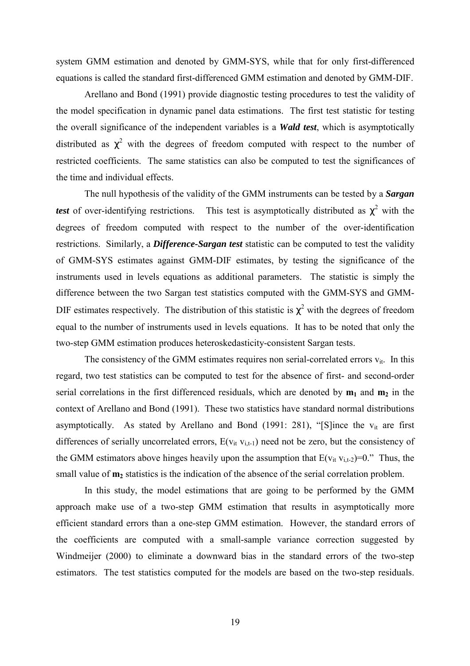system GMM estimation and denoted by GMM-SYS, while that for only first-differenced equations is called the standard first-differenced GMM estimation and denoted by GMM-DIF.

Arellano and Bond (1991) provide diagnostic testing procedures to test the validity of the model specification in dynamic panel data estimations. The first test statistic for testing the overall significance of the independent variables is a *Wald test*, which is asymptotically distributed as  $\chi^2$  with the degrees of freedom computed with respect to the number of restricted coefficients. The same statistics can also be computed to test the significances of the time and individual effects.

The null hypothesis of the validity of the GMM instruments can be tested by a *Sargan test* of over-identifying restrictions. This test is asymptotically distributed as  $\chi^2$  with the degrees of freedom computed with respect to the number of the over-identification restrictions. Similarly, a *Difference-Sargan test* statistic can be computed to test the validity of GMM-SYS estimates against GMM-DIF estimates, by testing the significance of the instruments used in levels equations as additional parameters. The statistic is simply the difference between the two Sargan test statistics computed with the GMM-SYS and GMM-DIF estimates respectively. The distribution of this statistic is  $\chi^2$  with the degrees of freedom equal to the number of instruments used in levels equations. It has to be noted that only the two-step GMM estimation produces heteroskedasticity-consistent Sargan tests.

The consistency of the GMM estimates requires non serial-correlated errors  $v_{it}$ . In this regard, two test statistics can be computed to test for the absence of first- and second-order serial correlations in the first differenced residuals, which are denoted by  $m_1$  and  $m_2$  in the context of Arellano and Bond (1991). These two statistics have standard normal distributions asymptotically. As stated by Arellano and Bond (1991: 281), "[S]ince the  $v_{it}$  are first differences of serially uncorrelated errors,  $E(v_{it} v_{i,t-1})$  need not be zero, but the consistency of the GMM estimators above hinges heavily upon the assumption that  $E(v_{it} v_{i,t-2})=0$ ." Thus, the small value of  $m<sub>2</sub>$  statistics is the indication of the absence of the serial correlation problem.

In this study, the model estimations that are going to be performed by the GMM approach make use of a two-step GMM estimation that results in asymptotically more efficient standard errors than a one-step GMM estimation. However, the standard errors of the coefficients are computed with a small-sample variance correction suggested by Windmeijer (2000) to eliminate a downward bias in the standard errors of the two-step estimators. The test statistics computed for the models are based on the two-step residuals.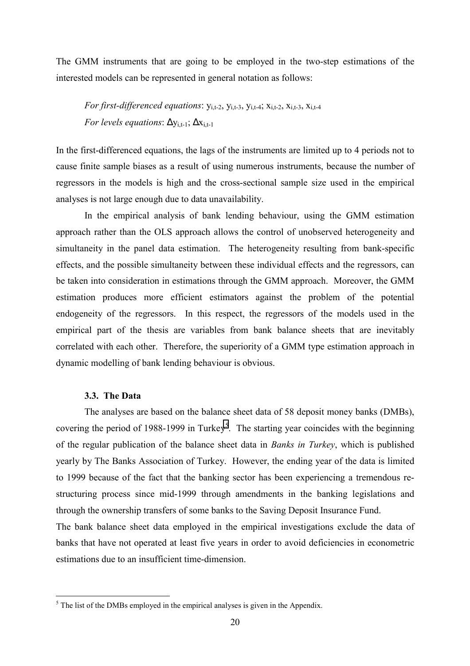The GMM instruments that are going to be employed in the two-step estimations of the interested models can be represented in general notation as follows:

*For first-differenced equations*:  $y_{i,t-2}$ ,  $y_{i,t-3}$ ,  $y_{i,t-4}$ ;  $x_{i,t-2}$ ,  $x_{i,t-3}$ ,  $x_{i,t-4}$ *For levels equations*:  $\Delta y_{i,t-1}$ ;  $\Delta x_{i,t-1}$ 

In the first-differenced equations, the lags of the instruments are limited up to 4 periods not to cause finite sample biases as a result of using numerous instruments, because the number of regressors in the models is high and the cross-sectional sample size used in the empirical analyses is not large enough due to data unavailability.

In the empirical analysis of bank lending behaviour, using the GMM estimation approach rather than the OLS approach allows the control of unobserved heterogeneity and simultaneity in the panel data estimation. The heterogeneity resulting from bank-specific effects, and the possible simultaneity between these individual effects and the regressors, can be taken into consideration in estimations through the GMM approach. Moreover, the GMM estimation produces more efficient estimators against the problem of the potential endogeneity of the regressors. In this respect, the regressors of the models used in the empirical part of the thesis are variables from bank balance sheets that are inevitably correlated with each other. Therefore, the superiority of a GMM type estimation approach in dynamic modelling of bank lending behaviour is obvious.

## **3.3. The Data**

The analyses are based on the balance sheet data of 58 deposit money banks (DMBs), covering the period of 1988-1999 in Turkey<sup>5</sup>. The starting year coincides with the beginning of the regular publication of the balance sheet data in *Banks in Turkey*, which is published yearly by The Banks Association of Turkey. However, the ending year of the data is limited to 1999 because of the fact that the banking sector has been experiencing a tremendous restructuring process since mid-1999 through amendments in the banking legislations and through the ownership transfers of some banks to the Saving Deposit Insurance Fund.

The bank balance sheet data employed in the empirical investigations exclude the data of banks that have not operated at least five years in order to avoid deficiencies in econometric estimations due to an insufficient time-dimension.

<sup>&</sup>lt;sup>5</sup> The list of the DMBs employed in the empirical analyses is given in the Appendix.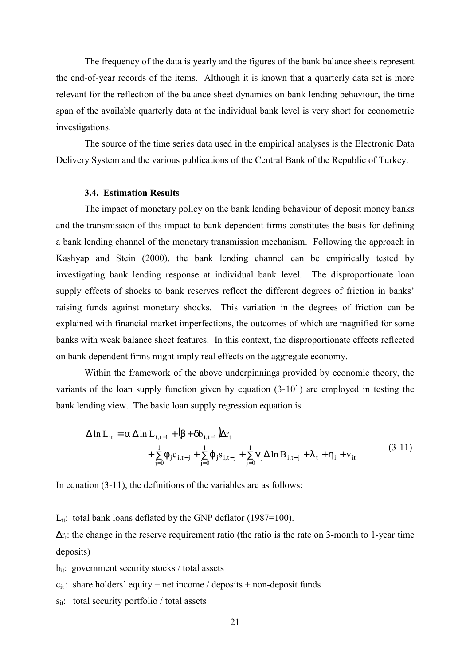The frequency of the data is yearly and the figures of the bank balance sheets represent the end-of-year records of the items. Although it is known that a quarterly data set is more relevant for the reflection of the balance sheet dynamics on bank lending behaviour, the time span of the available quarterly data at the individual bank level is very short for econometric investigations.

The source of the time series data used in the empirical analyses is the Electronic Data Delivery System and the various publications of the Central Bank of the Republic of Turkey.

#### **3.4. Estimation Results**

The impact of monetary policy on the bank lending behaviour of deposit money banks and the transmission of this impact to bank dependent firms constitutes the basis for defining a bank lending channel of the monetary transmission mechanism. Following the approach in Kashyap and Stein (2000), the bank lending channel can be empirically tested by investigating bank lending response at individual bank level. The disproportionate loan supply effects of shocks to bank reserves reflect the different degrees of friction in banks' raising funds against monetary shocks. This variation in the degrees of friction can be explained with financial market imperfections, the outcomes of which are magnified for some banks with weak balance sheet features. In this context, the disproportionate effects reflected on bank dependent firms might imply real effects on the aggregate economy.

Within the framework of the above underpinnings provided by economic theory, the variants of the loan supply function given by equation (3-10′ ) are employed in testing the bank lending view. The basic loan supply regression equation is

$$
\Delta \ln L_{it} = \alpha \Delta \ln L_{i, t-1} + (\beta + \delta b_{i, t-1}) \Delta r_{t} + \sum_{j=0}^{1} \phi_{j} c_{i, t-j} + \sum_{j=0}^{1} \phi_{j} s_{i, t-j} + \sum_{j=0}^{1} \gamma_{j} \Delta \ln B_{i, t-j} + \lambda_{t} + \eta_{i} + v_{it}
$$
(3-11)

In equation (3-11), the definitions of the variables are as follows:

 $L_{it}$ : total bank loans deflated by the GNP deflator (1987=100).

 $\Delta r_t$ : the change in the reserve requirement ratio (the ratio is the rate on 3-month to 1-year time deposits)

 $b_{it}$ : government security stocks / total assets

- $c_{it}$ : share holders' equity + net income / deposits + non-deposit funds
- $s_{it}$ : total security portfolio / total assets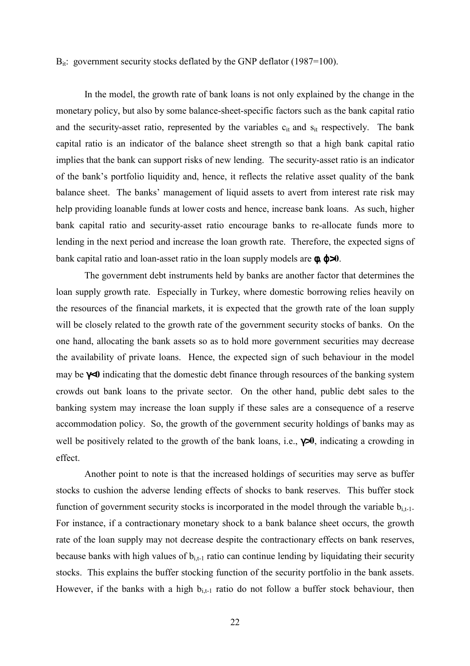#### $B_{it}$ : government security stocks deflated by the GNP deflator (1987=100).

In the model, the growth rate of bank loans is not only explained by the change in the monetary policy, but also by some balance-sheet-specific factors such as the bank capital ratio and the security-asset ratio, represented by the variables  $c_{it}$  and  $s_{it}$  respectively. The bank capital ratio is an indicator of the balance sheet strength so that a high bank capital ratio implies that the bank can support risks of new lending. The security-asset ratio is an indicator of the bank's portfolio liquidity and, hence, it reflects the relative asset quality of the bank balance sheet. The banks' management of liquid assets to avert from interest rate risk may help providing loanable funds at lower costs and hence, increase bank loans. As such, higher bank capital ratio and security-asset ratio encourage banks to re-allocate funds more to lending in the next period and increase the loan growth rate. Therefore, the expected signs of bank capital ratio and loan-asset ratio in the loan supply models are φ**,** ϕ>**0**.

The government debt instruments held by banks are another factor that determines the loan supply growth rate. Especially in Turkey, where domestic borrowing relies heavily on the resources of the financial markets, it is expected that the growth rate of the loan supply will be closely related to the growth rate of the government security stocks of banks. On the one hand, allocating the bank assets so as to hold more government securities may decrease the availability of private loans. Hence, the expected sign of such behaviour in the model may be γ<**0** indicating that the domestic debt finance through resources of the banking system crowds out bank loans to the private sector. On the other hand, public debt sales to the banking system may increase the loan supply if these sales are a consequence of a reserve accommodation policy. So, the growth of the government security holdings of banks may as well be positively related to the growth of the bank loans, i.e., γ>**0**, indicating a crowding in effect.

Another point to note is that the increased holdings of securities may serve as buffer stocks to cushion the adverse lending effects of shocks to bank reserves. This buffer stock function of government security stocks is incorporated in the model through the variable  $b_{i,t-1}$ . For instance, if a contractionary monetary shock to a bank balance sheet occurs, the growth rate of the loan supply may not decrease despite the contractionary effects on bank reserves, because banks with high values of  $b_{i,t-1}$  ratio can continue lending by liquidating their security stocks. This explains the buffer stocking function of the security portfolio in the bank assets. However, if the banks with a high  $b_{i,t-1}$  ratio do not follow a buffer stock behaviour, then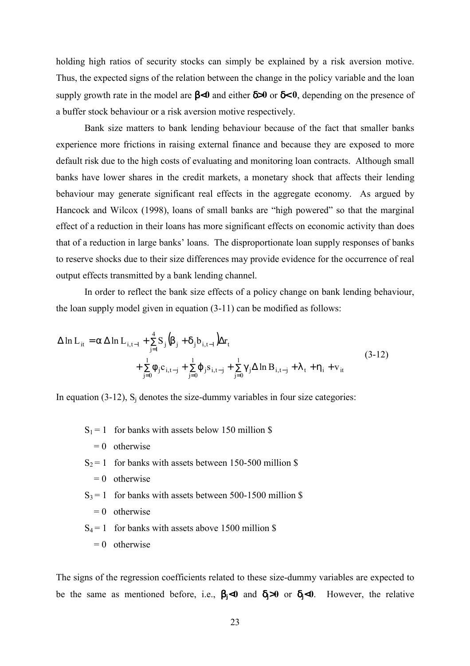holding high ratios of security stocks can simply be explained by a risk aversion motive. Thus, the expected signs of the relation between the change in the policy variable and the loan supply growth rate in the model are β<**0** and either δ>**0** or δ< **0**, depending on the presence of a buffer stock behaviour or a risk aversion motive respectively.

Bank size matters to bank lending behaviour because of the fact that smaller banks experience more frictions in raising external finance and because they are exposed to more default risk due to the high costs of evaluating and monitoring loan contracts. Although small banks have lower shares in the credit markets, a monetary shock that affects their lending behaviour may generate significant real effects in the aggregate economy. As argued by Hancock and Wilcox (1998), loans of small banks are "high powered" so that the marginal effect of a reduction in their loans has more significant effects on economic activity than does that of a reduction in large banks' loans. The disproportionate loan supply responses of banks to reserve shocks due to their size differences may provide evidence for the occurrence of real output effects transmitted by a bank lending channel.

In order to reflect the bank size effects of a policy change on bank lending behaviour, the loan supply model given in equation (3-11) can be modified as follows:

$$
\Delta \ln L_{it} = \alpha \Delta \ln L_{i, t-1} + \sum_{j=1}^{4} S_j (\beta_j + \delta_j b_{i, t-1}) \Delta r_t + \sum_{j=0}^{1} \phi_j c_{i, t-j} + \sum_{j=0}^{1} \phi_j s_{i, t-j} + \sum_{j=0}^{1} \gamma_j \Delta \ln B_{i, t-j} + \lambda_t + \eta_i + v_{it}
$$
(3-12)

In equation (3-12),  $S_i$  denotes the size-dummy variables in four size categories:

- $S_1 = 1$  for banks with assets below 150 million \$
	- $= 0$  otherwise
- $S_2 = 1$  for banks with assets between 150-500 million \$
	- $= 0$  otherwise
- $S_3 = 1$  for banks with assets between 500-1500 million \$
	- $= 0$  otherwise
- $S_4 = 1$  for banks with assets above 1500 million \$
	- $= 0$  otherwise

The signs of the regression coefficients related to these size-dummy variables are expected to be the same as mentioned before, i.e., β**j**<**0** and δ**j**>**0** or δ**j**<**0**. However, the relative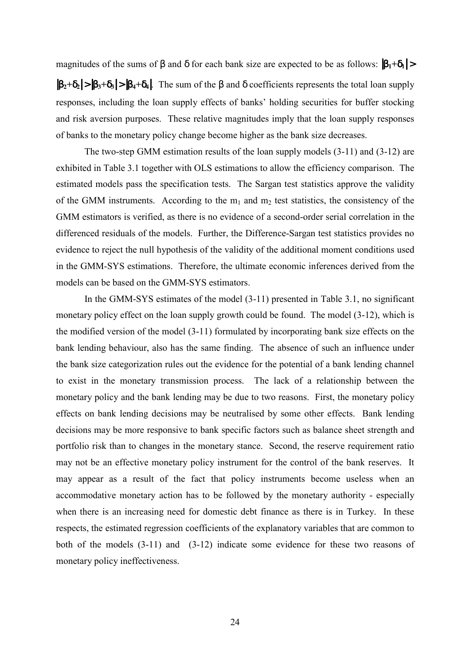magnitudes of the sums of β and δ for each bank size are expected to be as follows:  $|β_1 + δ_1|$  >

 $|\beta_2 + \delta_2| > |\beta_3 + \delta_3| > |\beta_4 + \delta_4|$ . The sum of the  $\beta$  and  $\delta$  coefficients represents the total loan supply responses, including the loan supply effects of banks' holding securities for buffer stocking and risk aversion purposes. These relative magnitudes imply that the loan supply responses of banks to the monetary policy change become higher as the bank size decreases.

The two-step GMM estimation results of the loan supply models (3-11) and (3-12) are exhibited in Table 3.1 together with OLS estimations to allow the efficiency comparison. The estimated models pass the specification tests. The Sargan test statistics approve the validity of the GMM instruments. According to the  $m_1$  and  $m_2$  test statistics, the consistency of the GMM estimators is verified, as there is no evidence of a second-order serial correlation in the differenced residuals of the models. Further, the Difference-Sargan test statistics provides no evidence to reject the null hypothesis of the validity of the additional moment conditions used in the GMM-SYS estimations. Therefore, the ultimate economic inferences derived from the models can be based on the GMM-SYS estimators.

In the GMM-SYS estimates of the model (3-11) presented in Table 3.1, no significant monetary policy effect on the loan supply growth could be found. The model (3-12), which is the modified version of the model (3-11) formulated by incorporating bank size effects on the bank lending behaviour, also has the same finding. The absence of such an influence under the bank size categorization rules out the evidence for the potential of a bank lending channel to exist in the monetary transmission process. The lack of a relationship between the monetary policy and the bank lending may be due to two reasons. First, the monetary policy effects on bank lending decisions may be neutralised by some other effects. Bank lending decisions may be more responsive to bank specific factors such as balance sheet strength and portfolio risk than to changes in the monetary stance. Second, the reserve requirement ratio may not be an effective monetary policy instrument for the control of the bank reserves. It may appear as a result of the fact that policy instruments become useless when an accommodative monetary action has to be followed by the monetary authority - especially when there is an increasing need for domestic debt finance as there is in Turkey. In these respects, the estimated regression coefficients of the explanatory variables that are common to both of the models (3-11) and (3-12) indicate some evidence for these two reasons of monetary policy ineffectiveness.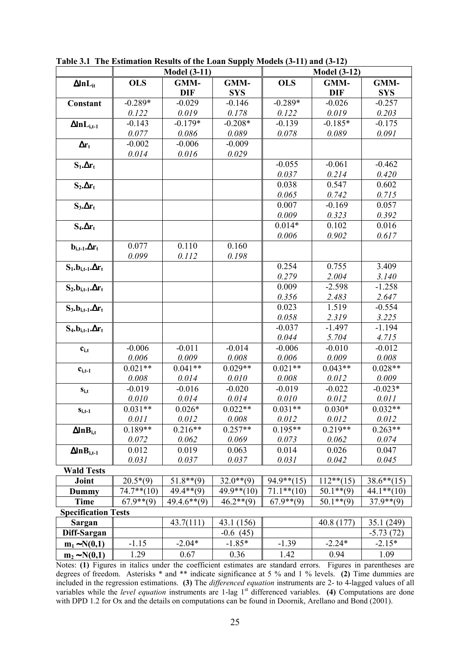|                            |               | <b>Model</b> (3-11) |               | <b>Model</b> (3-12) |                   |                   |  |  |  |
|----------------------------|---------------|---------------------|---------------|---------------------|-------------------|-------------------|--|--|--|
| $\Delta$ In $L_{it}$       | <b>OLS</b>    | GMM-                | GMM-          | <b>OLS</b>          | GMM-              | GMM-              |  |  |  |
|                            |               | <b>DIF</b>          | <b>SYS</b>    |                     | <b>DIF</b>        | <b>SYS</b>        |  |  |  |
| Constant                   | $-0.289*$     | $-0.029$            | $-0.146$      | $-0.289*$           | $-0.026$          | $-0.257$          |  |  |  |
|                            | 0.122         | 0.019               | 0.178         | 0.122               | 0.019             | 0.203             |  |  |  |
| $\Delta ln L_{i,t-1}$      | $-0.143$      | $-0.179*$           | $-0.208*$     | $-0.139$            | $-0.185*$         | $-0.175$          |  |  |  |
|                            | 0.077         | 0.086               | 0.089         | 0.078               | 0.089             | 0.091             |  |  |  |
| $\Delta r_t$               | $-0.002$      | $-0.006$            | $-0.009$      |                     |                   |                   |  |  |  |
|                            | 0.014         | 0.016               | 0.029         |                     |                   |                   |  |  |  |
| $S_1 \Delta r_t$           |               |                     |               | $-0.055$            | $-0.061$          | $-0.462$          |  |  |  |
|                            |               |                     |               | 0.037               | 0.214             | 0.420             |  |  |  |
| $S_2 \Delta r_t$           |               |                     |               | 0.038               | 0.547             | 0.602             |  |  |  |
|                            |               |                     |               | 0.065               | 0.742             | 0.715             |  |  |  |
| $S_3.\Delta r_t$           |               |                     |               | 0.007               | $-0.169$          | 0.057             |  |  |  |
|                            |               |                     |               | 0.009               | 0.323             | 0.392             |  |  |  |
| $S_4.\Delta r_t$           |               |                     |               | $0.014*$            | 0.102             | 0.016             |  |  |  |
|                            |               |                     |               | 0.006               | 0.902             | 0.617             |  |  |  |
| $b_{i,t-1}.\Delta r_t$     | 0.077         | 0.110               | 0.160         |                     |                   |                   |  |  |  |
|                            | 0.099         | 0.112               | 0.198         |                     |                   |                   |  |  |  |
| $S_1.b_{i,t-1}.\Delta r_t$ |               |                     |               | 0.254               | 0.755             | 3.409             |  |  |  |
|                            |               |                     |               | 0.279               | 2.004<br>$-2.598$ | 3.140             |  |  |  |
| $S_2.b_{i,t-1}.\Delta r_t$ |               |                     |               | 0.009               |                   | $-1.258$          |  |  |  |
|                            |               |                     |               | 0.356<br>0.023      | 2.483<br>1.519    | 2.647<br>$-0.554$ |  |  |  |
| $S_3.b_{i,t-1}.\Delta r_t$ |               |                     |               | 0.058               | 2.319             | 3.225             |  |  |  |
|                            |               |                     |               | $-0.037$            | $-1.497$          | $-1.194$          |  |  |  |
| $S_4.b_{i,t-1}.\Delta r_t$ |               |                     |               | 0.044               | 5.704             | 4.715             |  |  |  |
| $c_{i,t}$                  | $-0.006$      | $-0.011$            | $-0.014$      | $-0.006$            | $-0.010$          | $-0.012$          |  |  |  |
|                            | 0.006         | 0.009               | 0.008         | 0.006               | 0.009             | 0.008             |  |  |  |
| $c_{i,t-1}$                | $0.021**$     | $0.041**$           | $0.029**$     | $0.021**$           | $0.043**$         | $0.028**$         |  |  |  |
|                            | 0.008         | 0.014               | 0.010         | 0.008               | 0.012             | 0.009             |  |  |  |
| $S_{i,t}$                  | $-0.019$      | $-0.016$            | $-0.020$      | $-0.019$            | $-0.022$          | $-0.023*$         |  |  |  |
|                            | 0.010         | 0.014               | 0.014         | 0.010               | 0.012             | 0.011             |  |  |  |
| $S_{i,t-1}$                | $0.031**$     | $0.026*$            | $0.022**$     | $0.031**$           | $0.030*$          | $0.032**$         |  |  |  |
|                            | 0.011         | 0.012               | 0.008         | 0.012               | 0.012             | 0.012             |  |  |  |
| $\Delta$ ln $B_{i,t}$      | $0.189**$     | $0.216**$           | $0.257**$     | $0.195**$           | $0.219**$         | $0.263**$         |  |  |  |
|                            | 0.072         | 0.062               | 0.069         | 0.073               | 0.062             | 0.074             |  |  |  |
| $\Delta$ ln $B_{i,t-1}$    | 0.012         | 0.019               | 0.063         | 0.014               | 0.026             | 0.047             |  |  |  |
|                            | 0.031         | 0.037               | 0.037         | 0.031               | 0.042             | 0.045             |  |  |  |
| <b>Wald Tests</b>          |               |                     |               |                     |                   |                   |  |  |  |
| Joint                      | $20.5*(9)$    | $51.8**$ (9)        | $32.0**$ (9)  | $94.9**$ (15)       | $112**$ (15)      | $38.6**$ (15)     |  |  |  |
| Dummy                      | $74.7**$ (10) | $49.4**$ (9)        | $49.9**$ (10) | $71.1**$ (10)       | $50.1**$ (9)      | $44.1**$ (10)     |  |  |  |
| <b>Time</b>                | $67.9**$ (9)  | $49.4.6**$ (9)      | $46.2**$ (9)  | $67.9**$ (9)        | $50.1**$ (9)      | $37.9**$ (9)      |  |  |  |
| <b>Specification Tests</b> |               |                     |               |                     |                   |                   |  |  |  |
| Sargan                     |               | 43.7(111)           | 43.1 (156)    |                     | 40.8 (177)        | 35.1 (249)        |  |  |  |
| Diff-Sargan                |               |                     | $-0.6(45)$    |                     |                   | $-5.73(72)$       |  |  |  |
| $m_1 \sim N(0,1)$          | $-1.15$       | $-2.04*$            | $-1.85*$      | $-1.39$             | $-2.24*$          | $-2.15*$          |  |  |  |
| $m_2 \sim N(0,1)$          | 1.29          | 0.67                | 0.36          | 1.42                | 0.94              | 1.09              |  |  |  |

**Table 3.1 The Estimation Results of the Loan Supply Models (3-11) and (3-12)**

Notes: (1) Figures in italics under the coefficient estimates are standard errors. Figures in parentheses are degrees of freedom. Asterisks \* and \*\* indicate significance at 5 % and 1 % levels. **(2)** Time dummies are included in the regression estimations. **(3)** The *differenced equation* instruments are 2- to 4-lagged values of all variables while the *level equation* instruments are 1-lag 1<sup>st</sup> differenced variables. **(4)** Computations are done with DPD 1.2 for Ox and the details on computations can be found in Doornik, Arellano and Bond (2001).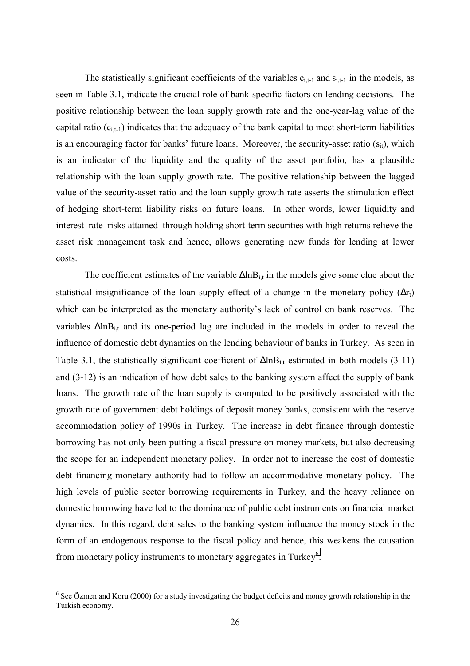The statistically significant coefficients of the variables  $c_{i,t-1}$  and  $s_{i,t-1}$  in the models, as seen in Table 3.1, indicate the crucial role of bank-specific factors on lending decisions. The positive relationship between the loan supply growth rate and the one-year-lag value of the capital ratio  $(c_{i,t-1})$  indicates that the adequacy of the bank capital to meet short-term liabilities is an encouraging factor for banks' future loans. Moreover, the security-asset ratio  $(s_{it})$ , which is an indicator of the liquidity and the quality of the asset portfolio, has a plausible relationship with the loan supply growth rate. The positive relationship between the lagged value of the security-asset ratio and the loan supply growth rate asserts the stimulation effect of hedging short-term liability risks on future loans. In other words, lower liquidity and interest rate risks attained through holding short-term securities with high returns relieve the asset risk management task and hence, allows generating new funds for lending at lower costs.

The coefficient estimates of the variable  $\Delta \ln B_{i,t}$  in the models give some clue about the statistical insignificance of the loan supply effect of a change in the monetary policy ( $\Delta r_t$ ) which can be interpreted as the monetary authority's lack of control on bank reserves. The variables ∆lnB<sub>it</sub> and its one-period lag are included in the models in order to reveal the influence of domestic debt dynamics on the lending behaviour of banks in Turkey. As seen in Table 3.1, the statistically significant coefficient of  $\Delta \ln B_{i,t}$  estimated in both models (3-11) and (3-12) is an indication of how debt sales to the banking system affect the supply of bank loans. The growth rate of the loan supply is computed to be positively associated with the growth rate of government debt holdings of deposit money banks, consistent with the reserve accommodation policy of 1990s in Turkey. The increase in debt finance through domestic borrowing has not only been putting a fiscal pressure on money markets, but also decreasing the scope for an independent monetary policy. In order not to increase the cost of domestic debt financing monetary authority had to follow an accommodative monetary policy. The high levels of public sector borrowing requirements in Turkey, and the heavy reliance on domestic borrowing have led to the dominance of public debt instruments on financial market dynamics. In this regard, debt sales to the banking system influence the money stock in the form of an endogenous response to the fiscal policy and hence, this weakens the causation from monetary policy instruments to monetary aggregates in Turkey<sup>6</sup>.

 $\overline{a}$ 

 $6$  See Özmen and Koru (2000) for a study investigating the budget deficits and money growth relationship in the Turkish economy.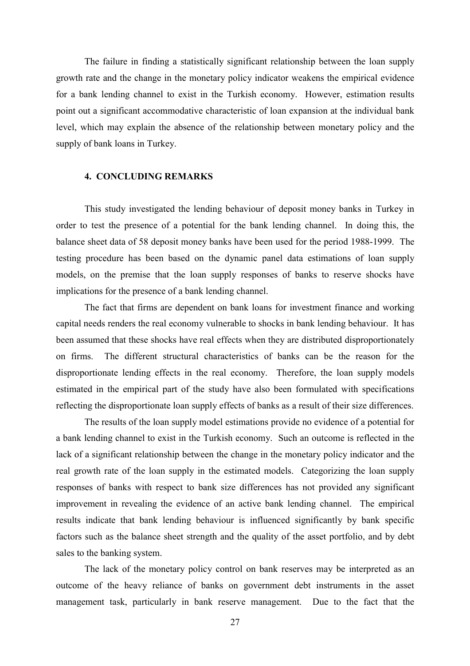The failure in finding a statistically significant relationship between the loan supply growth rate and the change in the monetary policy indicator weakens the empirical evidence for a bank lending channel to exist in the Turkish economy. However, estimation results point out a significant accommodative characteristic of loan expansion at the individual bank level, which may explain the absence of the relationship between monetary policy and the supply of bank loans in Turkey.

#### **4. CONCLUDING REMARKS**

This study investigated the lending behaviour of deposit money banks in Turkey in order to test the presence of a potential for the bank lending channel. In doing this, the balance sheet data of 58 deposit money banks have been used for the period 1988-1999. The testing procedure has been based on the dynamic panel data estimations of loan supply models, on the premise that the loan supply responses of banks to reserve shocks have implications for the presence of a bank lending channel.

The fact that firms are dependent on bank loans for investment finance and working capital needs renders the real economy vulnerable to shocks in bank lending behaviour. It has been assumed that these shocks have real effects when they are distributed disproportionately on firms. The different structural characteristics of banks can be the reason for the disproportionate lending effects in the real economy. Therefore, the loan supply models estimated in the empirical part of the study have also been formulated with specifications reflecting the disproportionate loan supply effects of banks as a result of their size differences.

The results of the loan supply model estimations provide no evidence of a potential for a bank lending channel to exist in the Turkish economy. Such an outcome is reflected in the lack of a significant relationship between the change in the monetary policy indicator and the real growth rate of the loan supply in the estimated models. Categorizing the loan supply responses of banks with respect to bank size differences has not provided any significant improvement in revealing the evidence of an active bank lending channel. The empirical results indicate that bank lending behaviour is influenced significantly by bank specific factors such as the balance sheet strength and the quality of the asset portfolio, and by debt sales to the banking system.

The lack of the monetary policy control on bank reserves may be interpreted as an outcome of the heavy reliance of banks on government debt instruments in the asset management task, particularly in bank reserve management. Due to the fact that the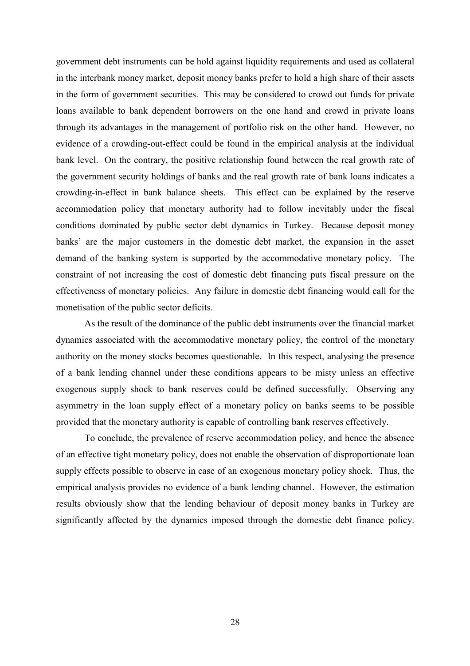government debt instruments can be hold against liquidity requirements and used as collateral in the interbank money market, deposit money banks prefer to hold a high share of their assets in the form of government securities. This may be considered to crowd out funds for private loans available to bank dependent borrowers on the one hand and crowd in private loans through its advantages in the management of portfolio risk on the other hand. However, no evidence of a crowding-out-effect could be found in the empirical analysis at the individual bank level. On the contrary, the positive relationship found between the real growth rate of the government security holdings of banks and the real growth rate of bank loans indicates a crowding-in-effect in bank balance sheets. This effect can be explained by the reserve accommodation policy that monetary authority had to follow inevitably under the fiscal conditions dominated by public sector debt dynamics in Turkey. Because deposit money banks' are the major customers in the domestic debt market, the expansion in the asset demand of the banking system is supported by the accommodative monetary policy. The constraint of not increasing the cost of domestic debt financing puts fiscal pressure on the effectiveness of monetary policies. Any failure in domestic debt financing would call for the monetisation of the public sector deficits.

As the result of the dominance of the public debt instruments over the financial market dynamics associated with the accommodative monetary policy, the control of the monetary authority on the money stocks becomes questionable. In this respect, analysing the presence of a bank lending channel under these conditions appears to be misty unless an effective exogenous supply shock to bank reserves could be defined successfully. Observing any asymmetry in the loan supply effect of a monetary policy on banks seems to be possible provided that the monetary authority is capable of controlling bank reserves effectively.

To conclude, the prevalence of reserve accommodation policy, and hence the absence of an effective tight monetary policy, does not enable the observation of disproportionate loan supply effects possible to observe in case of an exogenous monetary policy shock. Thus, the empirical analysis provides no evidence of a bank lending channel. However, the estimation results obviously show that the lending behaviour of deposit money banks in Turkey are significantly affected by the dynamics imposed through the domestic debt finance policy.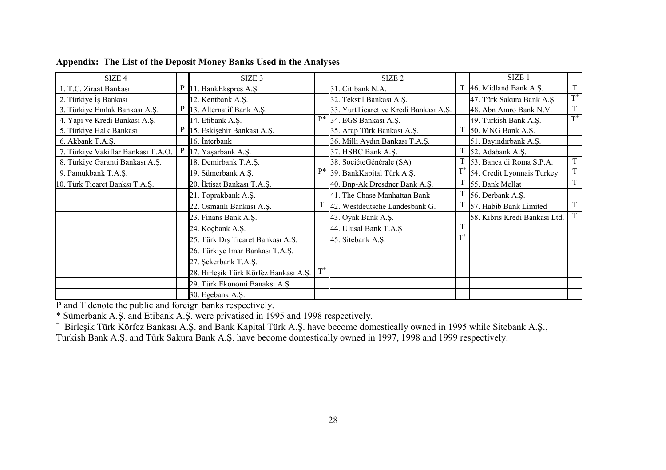| SIZE 4                             |   | SIZE 3                                |       | SIZE <sub>2</sub>                     |              | SIZE <sub>1</sub>             |             |
|------------------------------------|---|---------------------------------------|-------|---------------------------------------|--------------|-------------------------------|-------------|
| 1. T.C. Ziraat Bankası             |   | $P \parallel 11$ . BankEkspres A.Ş.   |       | 31. Citibank N.A.                     |              | T 46. Midland Bank A.Ş.       | $\mathbf T$ |
| 2. Türkiye İş Bankası              |   | 12. Kentbank A.Ş.                     |       | 32. Tekstil Bankası A.Ş.              |              | 47. Türk Sakura Bank A.Ş.     | $T^+$       |
| 3. Türkiye Emlak Bankası A.Ş.      |   | P 13. Alternatif Bank A.Ş.            |       | 33. YurtTicaret ve Kredi Bankası A.Ş. |              | 48. Abn Amro Bank N.V.        | $\mathbf T$ |
| 4. Yapı ve Kredi Bankası A.Ş.      |   | 14. Etibank A.Ş.                      |       | P* 34. EGS Bankası A.Ş.               |              | 49. Turkish Bank A.S.         | $T^+$       |
| 5. Türkiye Halk Bankası            | P | 15. Eskişehir Bankası A.Ş.            |       | 35. Arap Türk Bankası A.Ş.            |              | 50. MNG Bank A.Ş.             |             |
| 6. Akbank T.A.Ş.                   |   | 16. İnterbank                         |       | 36. Milli Aydın Bankası T.A.Ş.        |              | 51. Bayındırbank A.Ş.         |             |
| 7. Türkiye Vakiflar Bankası T.A.O. |   | P $\vert$ 17. Yaşarbank A.Ş.          |       | 37. HSBC Bank A.S.                    |              | 52. Adabank A.S.              |             |
| 8. Türkiye Garanti Bankası A.Ş.    |   | 18. Demirbank T.A.Ş.                  |       | 38. SociéteGénérale (SA)              |              | 53. Banca di Roma S.P.A.      | $\mathbf T$ |
| 9. Pamukbank T.A.S.                |   | 19. Sümerbank A.Ş.                    | $P*$  | 39. BankKapital Türk A.Ş.             | $T^+$        | 54. Credit Lyonnais Turkey    | T           |
| 10. Türk Ticaret Banksı T.A.Ş.     |   | 20. İktisat Bankası T.A.Ş.            |       | 40. Bnp-Ak Dresdner Bank A.Ş.         |              | 55. Bank Mellat               | $\mathbf T$ |
|                                    |   | 21. Toprakbank A.S.                   |       | 41. The Chase Manhattan Bank          |              | 56. Derbank A.Ş.              |             |
|                                    |   | 22. Osmanlı Bankası A.Ş.              |       | 42. Westdeutsche Landesbank G.        |              | 57. Habib Bank Limited        | $\mathbf T$ |
|                                    |   | 23. Finans Bank A.Ş.                  |       | 43. Oyak Bank A.Ş.                    |              | 58. Kıbrıs Kredi Bankası Ltd. | T           |
|                                    |   | 24. Koçbank A.Ş.                      |       | 44. Ulusal Bank T.A.Ş                 |              |                               |             |
|                                    |   | 25. Türk Dış Ticaret Bankası A.Ş.     |       | 45. Sitebank A.Ş.                     | $\text{T}^+$ |                               |             |
|                                    |   | 26. Türkiye İmar Bankası T.A.Ş.       |       |                                       |              |                               |             |
|                                    |   | 27. Şekerbank T.A.Ş.                  |       |                                       |              |                               |             |
|                                    |   | 28. Birleşik Türk Körfez Bankası A.Ş. | $T^+$ |                                       |              |                               |             |
|                                    |   | 29. Türk Ekonomi Banaksı A.Ş.         |       |                                       |              |                               |             |
|                                    |   | 30. Egebank A.S.                      |       |                                       |              |                               |             |

**Appendix: The List of the Deposit Money Banks Used in the Analyses**

P and T denote the public and foreign banks respectively.

\* Sümerbank A.Ş. and Etibank A.Ş. were privatised in 1995 and 1998 respectively.

+ Birleşik Türk Körfez Bankası A.Ş. and Bank Kapital Türk A.Ş. have become domestically owned in 1995 while Sitebank A.Ş., Turkish Bank A.Ş. and Türk Sakura Bank A.Ş. have become domestically owned in 1997, 1998 and 1999 respectively.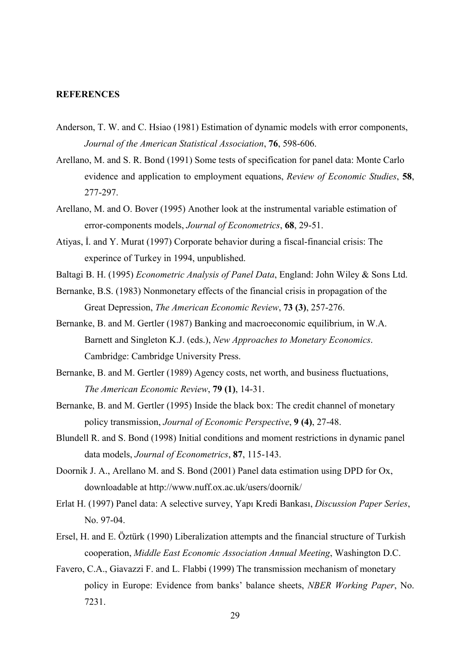#### **REFERENCES**

- Anderson, T. W. and C. Hsiao (1981) Estimation of dynamic models with error components, *Journal of the American Statistical Association*, **76**, 598-606.
- Arellano, M. and S. R. Bond (1991) Some tests of specification for panel data: Monte Carlo evidence and application to employment equations, *Review of Economic Studies*, **58**, 277-297.
- Arellano, M. and O. Bover (1995) Another look at the instrumental variable estimation of error-components models, *Journal of Econometrics*, **68**, 29-51.
- Atiyas, İ. and Y. Murat (1997) Corporate behavior during a fiscal-financial crisis: The experince of Turkey in 1994, unpublished.
- Baltagi B. H. (1995) *Econometric Analysis of Panel Data*, England: John Wiley & Sons Ltd.
- Bernanke, B.S. (1983) Nonmonetary effects of the financial crisis in propagation of the Great Depression, *The American Economic Review*, **73 (3)**, 257-276.
- Bernanke, B. and M. Gertler (1987) Banking and macroeconomic equilibrium, in W.A. Barnett and Singleton K.J. (eds.), *New Approaches to Monetary Economics*. Cambridge: Cambridge University Press.
- Bernanke, B. and M. Gertler (1989) Agency costs, net worth, and business fluctuations, *The American Economic Review*, **79 (1)**, 14-31.
- Bernanke, B. and M. Gertler (1995) Inside the black box: The credit channel of monetary policy transmission, *Journal of Economic Perspective*, **9 (4)**, 27-48.
- Blundell R. and S. Bond (1998) Initial conditions and moment restrictions in dynamic panel data models, *Journal of Econometrics*, **87**, 115-143.
- Doornik J. A., Arellano M. and S. Bond (2001) Panel data estimation using DPD for Ox, downloadable at http://www.nuff.ox.ac.uk/users/doornik/
- Erlat H. (1997) Panel data: A selective survey, Yapı Kredi Bankası, *Discussion Paper Series*, No. 97-04.
- Ersel, H. and E. Öztürk (1990) Liberalization attempts and the financial structure of Turkish cooperation, *Middle East Economic Association Annual Meeting*, Washington D.C.
- Favero, C.A., Giavazzi F. and L. Flabbi (1999) The transmission mechanism of monetary policy in Europe: Evidence from banks' balance sheets, *NBER Working Paper*, No. 7231.